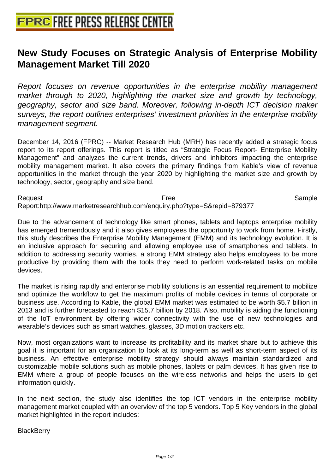## **[New Study Focuses on Strategic](http://www.free-press-release-center.info) Analysis of Enterprise Mobility Management Market Till 2020**

Report focuses on revenue opportunities in the enterprise mobility management market through to 2020, highlighting the market size and growth by technology, geography, sector and size band. Moreover, following in-depth ICT decision maker surveys, the report outlines enterprises' investment priorities in the enterprise mobility management segment.

December 14, 2016 (FPRC) -- Market Research Hub (MRH) has recently added a strategic focus report to its report offerings. This report is titled as "Strategic Focus Report- Enterprise Mobility Management" and analyzes the current trends, drivers and inhibitors impacting the enterprise mobility management market. It also covers the primary findings from Kable's view of revenue opportunities in the market through the year 2020 by highlighting the market size and growth by technology, sector, geography and size band.

Request **Exercise Exercise Exercise Free** Free Sample Report:http://www.marketresearchhub.com/enquiry.php?type=S&repid=879377

Due to the advancement of technology like smart phones, tablets and laptops enterprise mobility has emerged tremendously and it also gives employees the opportunity to work from home. Firstly, this study describes the Enterprise Mobility Management (EMM) and its technology evolution. It is an inclusive approach for securing and allowing employee use of smartphones and tablets. In addition to addressing security worries, a strong EMM strategy also helps employees to be more productive by providing them with the tools they need to perform work-related tasks on mobile devices.

The market is rising rapidly and enterprise mobility solutions is an essential requirement to mobilize and optimize the workflow to get the maximum profits of mobile devices in terms of corporate or business use. According to Kable, the global EMM market was estimated to be worth \$5.7 billion in 2013 and is further forecasted to reach \$15.7 billion by 2018. Also, mobility is aiding the functioning of the IoT environment by offering wider connectivity with the use of new technologies and wearable's devices such as smart watches, glasses, 3D motion trackers etc.

Now, most organizations want to increase its profitability and its market share but to achieve this goal it is important for an organization to look at its long-term as well as short-term aspect of its business. An effective enterprise mobility strategy should always maintain standardized and customizable mobile solutions such as mobile phones, tablets or palm devices. It has given rise to EMM where a group of people focuses on the wireless networks and helps the users to get information quickly.

In the next section, the study also identifies the top ICT vendors in the enterprise mobility management market coupled with an overview of the top 5 vendors. Top 5 Key vendors in the global market highlighted in the report includes:

**BlackBerry**